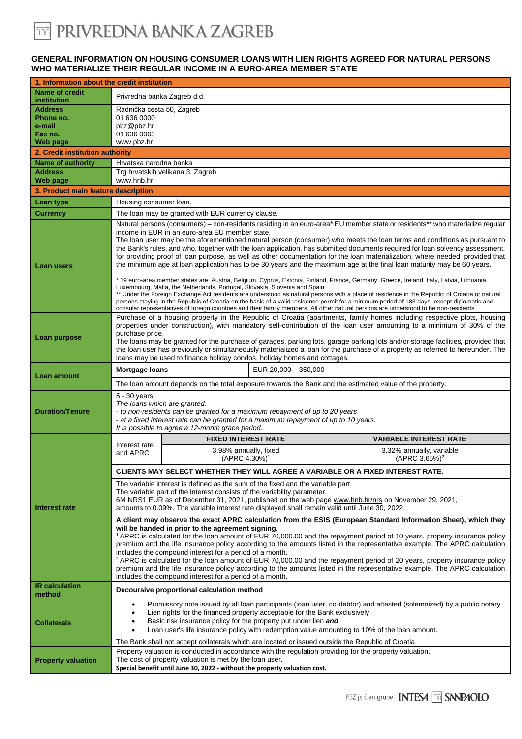### **GENERAL INFORMATION ON HOUSING CONSUMER LOANS WITH LIEN RIGHTS AGREED FOR NATURAL PERSONS WHO MATERIALIZE THEIR REGULAR INCOME IN A EURO-AREA MEMBER STATE**

| 1. Information about the credit institution                  |                                                                                                                                                                                                                                                                                                                                                                                                                                                                                                                                                                                                                                                                                                                                                                                                                                                                                                                                                                                                                                                                                                                                                                                                                                   |                                                    |                      |                                                       |  |
|--------------------------------------------------------------|-----------------------------------------------------------------------------------------------------------------------------------------------------------------------------------------------------------------------------------------------------------------------------------------------------------------------------------------------------------------------------------------------------------------------------------------------------------------------------------------------------------------------------------------------------------------------------------------------------------------------------------------------------------------------------------------------------------------------------------------------------------------------------------------------------------------------------------------------------------------------------------------------------------------------------------------------------------------------------------------------------------------------------------------------------------------------------------------------------------------------------------------------------------------------------------------------------------------------------------|----------------------------------------------------|----------------------|-------------------------------------------------------|--|
| <b>Name of credit</b><br>institution                         | Privredna banka Zagreb d.d.                                                                                                                                                                                                                                                                                                                                                                                                                                                                                                                                                                                                                                                                                                                                                                                                                                                                                                                                                                                                                                                                                                                                                                                                       |                                                    |                      |                                                       |  |
| <b>Address</b><br>Phone no.<br>e-mail<br>Fax no.<br>Web page | Radnička cesta 50, Zagreb<br>01 636 0000<br>pbz@pbz.hr<br>01 636 0063<br>www.pbz.hr                                                                                                                                                                                                                                                                                                                                                                                                                                                                                                                                                                                                                                                                                                                                                                                                                                                                                                                                                                                                                                                                                                                                               |                                                    |                      |                                                       |  |
| 2. Credit institution authority                              |                                                                                                                                                                                                                                                                                                                                                                                                                                                                                                                                                                                                                                                                                                                                                                                                                                                                                                                                                                                                                                                                                                                                                                                                                                   |                                                    |                      |                                                       |  |
| <b>Name of authority</b>                                     | Hrvatska narodna banka                                                                                                                                                                                                                                                                                                                                                                                                                                                                                                                                                                                                                                                                                                                                                                                                                                                                                                                                                                                                                                                                                                                                                                                                            |                                                    |                      |                                                       |  |
| <b>Address</b>                                               | www.hnb.hr                                                                                                                                                                                                                                                                                                                                                                                                                                                                                                                                                                                                                                                                                                                                                                                                                                                                                                                                                                                                                                                                                                                                                                                                                        | Trg hrvatskih velikana 3, Zagreb                   |                      |                                                       |  |
| Web page<br>3. Product main feature description              |                                                                                                                                                                                                                                                                                                                                                                                                                                                                                                                                                                                                                                                                                                                                                                                                                                                                                                                                                                                                                                                                                                                                                                                                                                   |                                                    |                      |                                                       |  |
| Loan type                                                    | Housing consumer loan.                                                                                                                                                                                                                                                                                                                                                                                                                                                                                                                                                                                                                                                                                                                                                                                                                                                                                                                                                                                                                                                                                                                                                                                                            |                                                    |                      |                                                       |  |
| <b>Currency</b>                                              | The loan may be granted with EUR currency clause.                                                                                                                                                                                                                                                                                                                                                                                                                                                                                                                                                                                                                                                                                                                                                                                                                                                                                                                                                                                                                                                                                                                                                                                 |                                                    |                      |                                                       |  |
| <b>Loan users</b>                                            | Natural persons (consumers) - non-residents residing in an euro-area* EU member state or residents** who materialize regular<br>income in EUR in an euro-area EU member state.<br>The loan user may be the aforementioned natural person (consumer) who meets the loan terms and conditions as pursuant to<br>the Bank's rules, and who, together with the loan application, has submitted documents required for loan solvency assessment,<br>for providing proof of loan purpose, as well as other documentation for the loan materialization, where needed, provided that<br>the minimum age at loan application has to be 30 years and the maximum age at the final loan maturity may be 60 years.<br>* 19 euro-area member states are: Austria, Belgium, Cyprus, Estonia, Finland, France, Germany, Greece, Ireland, Italy, Latvia, Lithuania,<br>Luxembourg, Malta, the Netherlands, Portugal, Slovakia, Slovenia and Spain<br>** Under the Foreign Exchange Act residents are understood as natural persons with a place of residence in the Republic of Croatia or natural<br>persons staying in the Republic of Croatia on the basis of a valid residence permit for a minimum period of 183 days, except diplomatic and |                                                    |                      |                                                       |  |
| Loan purpose                                                 | consular representatives of foreign countries and their family members. All other natural persons are understood to be non-residents.<br>Purchase of a housing property in the Republic of Croatia (apartments, family homes including respective plots, housing<br>properties under construction), with mandatory self-contribution of the loan user amounting to a minimum of 30% of the<br>purchase price.<br>The loans may be granted for the purchase of garages, parking lots, garage parking lots and/or storage facilities, provided that<br>the loan user has previously or simultaneously materialized a loan for the purchase of a property as referred to hereunder. The<br>loans may be used to finance holiday condos, holiday homes and cottages.                                                                                                                                                                                                                                                                                                                                                                                                                                                                  |                                                    |                      |                                                       |  |
| Loan amount                                                  | <b>Mortgage loans</b>                                                                                                                                                                                                                                                                                                                                                                                                                                                                                                                                                                                                                                                                                                                                                                                                                                                                                                                                                                                                                                                                                                                                                                                                             |                                                    | EUR 20,000 - 350,000 |                                                       |  |
|                                                              | The loan amount depends on the total exposure towards the Bank and the estimated value of the property.                                                                                                                                                                                                                                                                                                                                                                                                                                                                                                                                                                                                                                                                                                                                                                                                                                                                                                                                                                                                                                                                                                                           |                                                    |                      |                                                       |  |
| <b>Duration/Tenure</b>                                       | 5 - 30 years,<br>The loans which are granted:<br>- to non-residents can be granted for a maximum repayment of up to 20 years<br>- at a fixed interest rate can be granted for a maximum repayment of up to 10 years.<br>It is possible to agree a 12-month grace period.                                                                                                                                                                                                                                                                                                                                                                                                                                                                                                                                                                                                                                                                                                                                                                                                                                                                                                                                                          |                                                    |                      |                                                       |  |
|                                                              | Interest rate                                                                                                                                                                                                                                                                                                                                                                                                                                                                                                                                                                                                                                                                                                                                                                                                                                                                                                                                                                                                                                                                                                                                                                                                                     | <b>FIXED INTEREST RATE</b>                         |                      | <b>VARIABLE INTEREST RATE</b>                         |  |
|                                                              | and APRC                                                                                                                                                                                                                                                                                                                                                                                                                                                                                                                                                                                                                                                                                                                                                                                                                                                                                                                                                                                                                                                                                                                                                                                                                          | 3.98% annually, fixed<br>(APRC 4.30%) <sup>1</sup> |                      | 3.32% annually, variable<br>(APRC 3.65%) <sup>2</sup> |  |
|                                                              |                                                                                                                                                                                                                                                                                                                                                                                                                                                                                                                                                                                                                                                                                                                                                                                                                                                                                                                                                                                                                                                                                                                                                                                                                                   |                                                    |                      |                                                       |  |
| Interest rate                                                | CLIENTS MAY SELECT WHETHER THEY WILL AGREE A VARIABLE OR A FIXED INTEREST RATE.                                                                                                                                                                                                                                                                                                                                                                                                                                                                                                                                                                                                                                                                                                                                                                                                                                                                                                                                                                                                                                                                                                                                                   |                                                    |                      |                                                       |  |
|                                                              | The variable interest is defined as the sum of the fixed and the variable part.<br>The variable part of the interest consists of the variability parameter.<br>6M NRS1 EUR as of December 31, 2021, published on the web page www.hnb.hr/nrs on November 29, 2021,<br>amounts to 0.09%. The variable interest rate displayed shall remain valid until June 30, 2022.                                                                                                                                                                                                                                                                                                                                                                                                                                                                                                                                                                                                                                                                                                                                                                                                                                                              |                                                    |                      |                                                       |  |
|                                                              | A client may observe the exact APRC calculation from the ESIS (European Standard Information Sheet), which they<br>will be handed in prior to the agreement signing.<br><sup>1</sup> APRC is calculated for the loan amount of EUR 70,000.00 and the repayment period of 10 years, property insurance policy<br>premium and the life insurance policy according to the amounts listed in the representative example. The APRC calculation<br>includes the compound interest for a period of a month.<br><sup>2</sup> APRC is calculated for the loan amount of EUR 70,000.00 and the repayment period of 20 years, property insurance policy<br>premium and the life insurance policy according to the amounts listed in the representative example. The APRC calculation<br>includes the compound interest for a period of a month.                                                                                                                                                                                                                                                                                                                                                                                              |                                                    |                      |                                                       |  |
| <b>IR</b> calculation<br>method                              | Decoursive proportional calculation method                                                                                                                                                                                                                                                                                                                                                                                                                                                                                                                                                                                                                                                                                                                                                                                                                                                                                                                                                                                                                                                                                                                                                                                        |                                                    |                      |                                                       |  |
| <b>Collaterals</b>                                           | Promissory note issued by all loan participants (loan user, co-debtor) and attested (solemnized) by a public notary<br>$\bullet$<br>Lien rights for the financed property acceptable for the Bank exclusively<br>Basic risk insurance policy for the property put under lien and<br>Loan user's life insurance policy with redemption value amounting to 10% of the loan amount.<br>The Bank shall not accept collaterals which are located or issued outside the Republic of Croatia.                                                                                                                                                                                                                                                                                                                                                                                                                                                                                                                                                                                                                                                                                                                                            |                                                    |                      |                                                       |  |
| <b>Property valuation</b>                                    | Property valuation is conducted in accordance with the regulation providing for the property valuation.<br>The cost of property valuation is met by the loan user.<br>Special benefit until June 30, 2022 - without the property valuation cost.                                                                                                                                                                                                                                                                                                                                                                                                                                                                                                                                                                                                                                                                                                                                                                                                                                                                                                                                                                                  |                                                    |                      |                                                       |  |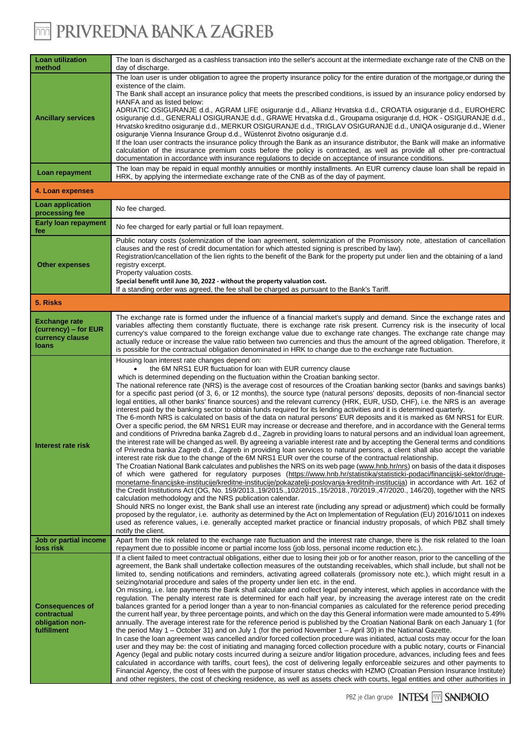## **THE PRIVREDNA BANKA ZAGREB**

| <b>Loan utilization</b><br>method                                        | The loan is discharged as a cashless transaction into the seller's account at the intermediate exchange rate of the CNB on the<br>day of discharge.                                                                                                                                                                                                                                                                                                                                                                                                                                                                                                                                                                                                                                                                                                                                                                                                                                                                                                                                                                                                                                                                                                                                                                                                                                                                                                                                                                                                                                                                                                                                                                                                                                                                                                                                                                                                                                                                                                                                                                                                                                                                                                                                                                                                                                                                                                                                                                                      |  |  |  |  |
|--------------------------------------------------------------------------|------------------------------------------------------------------------------------------------------------------------------------------------------------------------------------------------------------------------------------------------------------------------------------------------------------------------------------------------------------------------------------------------------------------------------------------------------------------------------------------------------------------------------------------------------------------------------------------------------------------------------------------------------------------------------------------------------------------------------------------------------------------------------------------------------------------------------------------------------------------------------------------------------------------------------------------------------------------------------------------------------------------------------------------------------------------------------------------------------------------------------------------------------------------------------------------------------------------------------------------------------------------------------------------------------------------------------------------------------------------------------------------------------------------------------------------------------------------------------------------------------------------------------------------------------------------------------------------------------------------------------------------------------------------------------------------------------------------------------------------------------------------------------------------------------------------------------------------------------------------------------------------------------------------------------------------------------------------------------------------------------------------------------------------------------------------------------------------------------------------------------------------------------------------------------------------------------------------------------------------------------------------------------------------------------------------------------------------------------------------------------------------------------------------------------------------------------------------------------------------------------------------------------------------|--|--|--|--|
| <b>Ancillary services</b>                                                | The loan user is under obligation to agree the property insurance policy for the entire duration of the mortgage, or during the<br>existence of the claim.<br>The Bank shall accept an insurance policy that meets the prescribed conditions, is issued by an insurance policy endorsed by<br>HANFA and as listed below:<br>ADRIATIC OSIGURANJE d.d., AGRAM LIFE osiguranje d.d., Allianz Hrvatska d.d., CROATIA osiguranje d.d., EUROHERC<br>osiguranje d.d., GENERALI OSIGURANJE d.d., GRAWE Hrvatska d.d., Groupama osiguranje d.d, HOK - OSIGURANJE d.d.,<br>Hrvatsko kreditno osiguranje d.d., MERKUR OSIGURANJE d.d., TRIGLAV OSIGURANJE d.d., UNIQA osiguranje d.d., Wiener<br>osiguranje Vienna Insurance Group d.d., Wüstenrot životno osiguranje d.d.<br>If the loan user contracts the insurance policy through the Bank as an insurance distributor, the Bank will make an informative<br>calculation of the insurance premium costs before the policy is contracted, as well as provide all other pre-contractual<br>documentation in accordance with insurance regulations to decide on acceptance of insurance conditions.                                                                                                                                                                                                                                                                                                                                                                                                                                                                                                                                                                                                                                                                                                                                                                                                                                                                                                                                                                                                                                                                                                                                                                                                                                                                                                                                                                                                |  |  |  |  |
| Loan repayment                                                           | The loan may be repaid in equal monthly annuities or monthly installments. An EUR currency clause loan shall be repaid in<br>HRK, by applying the intermediate exchange rate of the CNB as of the day of payment.                                                                                                                                                                                                                                                                                                                                                                                                                                                                                                                                                                                                                                                                                                                                                                                                                                                                                                                                                                                                                                                                                                                                                                                                                                                                                                                                                                                                                                                                                                                                                                                                                                                                                                                                                                                                                                                                                                                                                                                                                                                                                                                                                                                                                                                                                                                        |  |  |  |  |
| 4. Loan expenses                                                         |                                                                                                                                                                                                                                                                                                                                                                                                                                                                                                                                                                                                                                                                                                                                                                                                                                                                                                                                                                                                                                                                                                                                                                                                                                                                                                                                                                                                                                                                                                                                                                                                                                                                                                                                                                                                                                                                                                                                                                                                                                                                                                                                                                                                                                                                                                                                                                                                                                                                                                                                          |  |  |  |  |
| Loan application<br>processing fee                                       | No fee charged.                                                                                                                                                                                                                                                                                                                                                                                                                                                                                                                                                                                                                                                                                                                                                                                                                                                                                                                                                                                                                                                                                                                                                                                                                                                                                                                                                                                                                                                                                                                                                                                                                                                                                                                                                                                                                                                                                                                                                                                                                                                                                                                                                                                                                                                                                                                                                                                                                                                                                                                          |  |  |  |  |
| <b>Early loan repayment</b><br>fee                                       | No fee charged for early partial or full loan repayment.                                                                                                                                                                                                                                                                                                                                                                                                                                                                                                                                                                                                                                                                                                                                                                                                                                                                                                                                                                                                                                                                                                                                                                                                                                                                                                                                                                                                                                                                                                                                                                                                                                                                                                                                                                                                                                                                                                                                                                                                                                                                                                                                                                                                                                                                                                                                                                                                                                                                                 |  |  |  |  |
| <b>Other expenses</b>                                                    | Public notary costs (solemnization of the loan agreement, solemnization of the Promissory note, attestation of cancellation<br>clauses and the rest of credit documentation for which attested signing is prescribed by law).<br>Registration/cancellation of the lien rights to the benefit of the Bank for the property put under lien and the obtaining of a land<br>registry excerpt.<br>Property valuation costs.<br>Special benefit until June 30, 2022 - without the property valuation cost.<br>If a standing order was agreed, the fee shall be charged as pursuant to the Bank's Tariff.                                                                                                                                                                                                                                                                                                                                                                                                                                                                                                                                                                                                                                                                                                                                                                                                                                                                                                                                                                                                                                                                                                                                                                                                                                                                                                                                                                                                                                                                                                                                                                                                                                                                                                                                                                                                                                                                                                                                       |  |  |  |  |
| 5. Risks                                                                 |                                                                                                                                                                                                                                                                                                                                                                                                                                                                                                                                                                                                                                                                                                                                                                                                                                                                                                                                                                                                                                                                                                                                                                                                                                                                                                                                                                                                                                                                                                                                                                                                                                                                                                                                                                                                                                                                                                                                                                                                                                                                                                                                                                                                                                                                                                                                                                                                                                                                                                                                          |  |  |  |  |
| <b>Exchange rate</b><br>(currency) – for EUR<br>currency clause<br>loans | The exchange rate is formed under the influence of a financial market's supply and demand. Since the exchange rates and<br>variables affecting them constantly fluctuate, there is exchange rate risk present. Currency risk is the insecurity of local<br>currency's value compared to the foreign exchange value due to exchange rate changes. The exchange rate change may<br>actually reduce or increase the value ratio between two currencies and thus the amount of the agreed obligation. Therefore, it<br>is possible for the contractual obligation denominated in HRK to change due to the exchange rate fluctuation.                                                                                                                                                                                                                                                                                                                                                                                                                                                                                                                                                                                                                                                                                                                                                                                                                                                                                                                                                                                                                                                                                                                                                                                                                                                                                                                                                                                                                                                                                                                                                                                                                                                                                                                                                                                                                                                                                                         |  |  |  |  |
| Interest rate risk                                                       | Housing loan interest rate changes depend on:<br>the 6M NRS1 EUR fluctuation for loan with EUR currency clause<br>which is determined depending on the fluctuation within the Croatian banking sector.<br>The national reference rate (NRS) is the average cost of resources of the Croatian banking sector (banks and savings banks)<br>for a specific past period (of 3, 6, or 12 months), the source type (natural persons' deposits, deposits of non-financial sector<br>legal entities, all other banks' finance sources) and the relevant currency (HRK, EUR, USD, CHF), i.e. the NRS is an average<br>interest paid by the banking sector to obtain funds required for its lending activities and it is determined quarterly.<br>The 6-month NRS is calculated on basis of the data on natural persons' EUR deposits and it is marked as 6M NRS1 for EUR.<br>Over a specific period, the 6M NRS1 EUR may increase or decrease and therefore, and in accordance with the General terms<br>and conditions of Privredna banka Zagreb d.d., Zagreb in providing loans to natural persons and an individual loan agreement,<br>the interest rate will be changed as well. By agreeing a variable interest rate and by accepting the General terms and conditions<br>of Privredna banka Zagreb d.d., Zagreb in providing loan services to natural persons, a client shall also accept the variable<br>interest rate risk due to the change of the 6M NRS1 EUR over the course of the contractual relationship.<br>The Croatian National Bank calculates and publishes the NRS on its web page (www.hnb.hr/nrs) on basis of the data it disposes<br>of which were gathered for regulatory purposes (https://www.hnb.hr/statistika/statisticki-podaci/financijski-sektor/druge-<br>monetarne-financijske-institucije/kreditne-institucije/pokazatelji-poslovanja-kreditnih-institucija) in accordance with Art. 162 of<br>the Credit Institutions Act (OG, No. 159/2013.,19/2015.,102/2015.,15/2018.,70/2019.,47/2020., 146/20), together with the NRS<br>calculation methodology and the NRS publication calendar.<br>Should NRS no longer exist, the Bank shall use an interest rate (including any spread or adjustment) which could be formally<br>proposed by the regulator, i.e. authority as determined by the Act on Implementation of Regulation (EU) 2016/1011 on indexes<br>used as reference values, i.e. generally accepted market practice or financial industry proposals, of which PBZ shall timely<br>notify the client. |  |  |  |  |
| Job or partial income<br>loss risk                                       | Apart from the risk related to the exchange rate fluctuation and the interest rate change, there is the risk related to the loan<br>repayment due to possible income or partial income loss (job loss, personal income reduction etc.).                                                                                                                                                                                                                                                                                                                                                                                                                                                                                                                                                                                                                                                                                                                                                                                                                                                                                                                                                                                                                                                                                                                                                                                                                                                                                                                                                                                                                                                                                                                                                                                                                                                                                                                                                                                                                                                                                                                                                                                                                                                                                                                                                                                                                                                                                                  |  |  |  |  |
| <b>Consequences of</b><br>contractual<br>obligation non-<br>fulfillment  | If a client failed to meet contractual obligations, either due to losing their job or for another reason, prior to the cancelling of the<br>agreement, the Bank shall undertake collection measures of the outstanding receivables, which shall include, but shall not be<br>limited to, sending notifications and reminders, activating agreed collaterals (promissory note etc.), which might result in a<br>seizing/notarial procedure and sales of the property under lien etc. in the end.<br>On missing, i.e. late payments the Bank shall calculate and collect legal penalty interest, which applies in accordance with the<br>regulation. The penalty interest rate is determined for each half year, by increasing the average interest rate on the credit<br>balances granted for a period longer than a year to non-financial companies as calculated for the reference period preceding<br>the current half year, by three percentage points, and which on the day this General information were made amounted to 5.49%<br>annually. The average interest rate for the reference period is published by the Croatian National Bank on each January 1 (for<br>the period May 1 – October 31) and on July 1 (for the period November 1 – April 30) in the National Gazette.<br>In case the loan agreement was cancelled and/or forced collection procedure was initiated, actual costs may occur for the loan<br>user and they may be: the cost of initiating and managing forced collection procedure with a public notary, courts or Financial<br>Agency (legal and public notary costs incurred during a seizure and/or litigation procedure, advances, including fees and fees<br>calculated in accordance with tariffs, court fees), the cost of delivering legally enforceable seizures and other payments to<br>Financial Agency, the cost of fees with the purpose of insurer status checks with HZMO (Croatian Pension Insurance Institute)<br>and other registers, the cost of checking residence, as well as assets check with courts, legal entities and other authorities in                                                                                                                                                                                                                                                                                                                                                                                                                                     |  |  |  |  |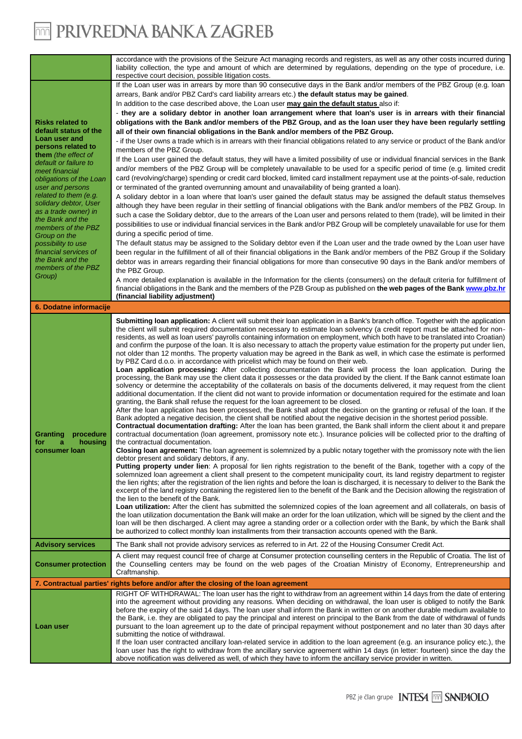### **THE PRIVREDNA BANKA ZAGREB**

|                                                                                                                                                                                         | accordance with the provisions of the Seizure Act managing records and registers, as well as any other costs incurred during<br>liability collection, the type and amount of which are determined by regulations, depending on the type of procedure, i.e.<br>respective court decision, possible litigation costs.                                                                                                                                                                                                                                                                                                                                                                                                                                                                                                                                                                                                                                                                                                                                                                                                                                                                                                                                                                                                                                                                                                                                                                                                                                                                                                                                                                                                                                                                                                                                                                                                                                                                                                                                                                                                                                                                                                                                                                                                                                                                                                                                                                                                                                                                                                                                                                                                                                                                                                                                                                                                                                                                                                                                                                                                                                                                                                                                     |  |  |  |  |
|-----------------------------------------------------------------------------------------------------------------------------------------------------------------------------------------|---------------------------------------------------------------------------------------------------------------------------------------------------------------------------------------------------------------------------------------------------------------------------------------------------------------------------------------------------------------------------------------------------------------------------------------------------------------------------------------------------------------------------------------------------------------------------------------------------------------------------------------------------------------------------------------------------------------------------------------------------------------------------------------------------------------------------------------------------------------------------------------------------------------------------------------------------------------------------------------------------------------------------------------------------------------------------------------------------------------------------------------------------------------------------------------------------------------------------------------------------------------------------------------------------------------------------------------------------------------------------------------------------------------------------------------------------------------------------------------------------------------------------------------------------------------------------------------------------------------------------------------------------------------------------------------------------------------------------------------------------------------------------------------------------------------------------------------------------------------------------------------------------------------------------------------------------------------------------------------------------------------------------------------------------------------------------------------------------------------------------------------------------------------------------------------------------------------------------------------------------------------------------------------------------------------------------------------------------------------------------------------------------------------------------------------------------------------------------------------------------------------------------------------------------------------------------------------------------------------------------------------------------------------------------------------------------------------------------------------------------------------------------------------------------------------------------------------------------------------------------------------------------------------------------------------------------------------------------------------------------------------------------------------------------------------------------------------------------------------------------------------------------------------------------------------------------------------------------------------------------------|--|--|--|--|
|                                                                                                                                                                                         | If the Loan user was in arrears by more than 90 consecutive days in the Bank and/or members of the PBZ Group (e.g. loan<br>arrears, Bank and/or PBZ Card's card liability arrears etc.) the default status may be gained.<br>In addition to the case described above, the Loan user may gain the default status also if:                                                                                                                                                                                                                                                                                                                                                                                                                                                                                                                                                                                                                                                                                                                                                                                                                                                                                                                                                                                                                                                                                                                                                                                                                                                                                                                                                                                                                                                                                                                                                                                                                                                                                                                                                                                                                                                                                                                                                                                                                                                                                                                                                                                                                                                                                                                                                                                                                                                                                                                                                                                                                                                                                                                                                                                                                                                                                                                                |  |  |  |  |
| <b>Risks related to</b><br>default status of the                                                                                                                                        | - they are a solidary debtor in another loan arrangement where that loan's user is in arrears with their financial<br>obligations with the Bank and/or members of the PBZ Group, and as the loan user they have been regularly settling<br>all of their own financial obligations in the Bank and/or members of the PBZ Group.                                                                                                                                                                                                                                                                                                                                                                                                                                                                                                                                                                                                                                                                                                                                                                                                                                                                                                                                                                                                                                                                                                                                                                                                                                                                                                                                                                                                                                                                                                                                                                                                                                                                                                                                                                                                                                                                                                                                                                                                                                                                                                                                                                                                                                                                                                                                                                                                                                                                                                                                                                                                                                                                                                                                                                                                                                                                                                                          |  |  |  |  |
| Loan user and<br>persons related to                                                                                                                                                     | - if the User owns a trade which is in arrears with their financial obligations related to any service or product of the Bank and/or                                                                                                                                                                                                                                                                                                                                                                                                                                                                                                                                                                                                                                                                                                                                                                                                                                                                                                                                                                                                                                                                                                                                                                                                                                                                                                                                                                                                                                                                                                                                                                                                                                                                                                                                                                                                                                                                                                                                                                                                                                                                                                                                                                                                                                                                                                                                                                                                                                                                                                                                                                                                                                                                                                                                                                                                                                                                                                                                                                                                                                                                                                                    |  |  |  |  |
| them (the effect of<br>default or failure to<br>meet financial<br>obligations of the Loan<br>user and persons<br>related to them (e.g.<br>solidary debtor, User<br>as a trade owner) in | members of the PBZ Group.<br>If the Loan user gained the default status, they will have a limited possibility of use or individual financial services in the Bank<br>and/or members of the PBZ Group will be completely unavailable to be used for a specific period of time (e.g. limited credit<br>card (revolving/charge) spending or credit card blocked, limited card installment repayment use at the points-of-sale, reduction<br>or terminated of the granted overrunning amount and unavailability of being granted a loan).<br>A solidary debtor in a loan where that loan's user gained the default status may be assigned the default status themselves<br>although they have been regular in their settling of financial obligations with the Bank and/or members of the PBZ Group. In<br>such a case the Solidary debtor, due to the arrears of the Loan user and persons related to them (trade), will be limited in their                                                                                                                                                                                                                                                                                                                                                                                                                                                                                                                                                                                                                                                                                                                                                                                                                                                                                                                                                                                                                                                                                                                                                                                                                                                                                                                                                                                                                                                                                                                                                                                                                                                                                                                                                                                                                                                                                                                                                                                                                                                                                                                                                                                                                                                                                                               |  |  |  |  |
| the Bank and the<br>members of the PBZ                                                                                                                                                  | possibilities to use or individual financial services in the Bank and/or PBZ Group will be completely unavailable for use for them<br>during a specific period of time.                                                                                                                                                                                                                                                                                                                                                                                                                                                                                                                                                                                                                                                                                                                                                                                                                                                                                                                                                                                                                                                                                                                                                                                                                                                                                                                                                                                                                                                                                                                                                                                                                                                                                                                                                                                                                                                                                                                                                                                                                                                                                                                                                                                                                                                                                                                                                                                                                                                                                                                                                                                                                                                                                                                                                                                                                                                                                                                                                                                                                                                                                 |  |  |  |  |
| Group on the<br>possibility to use                                                                                                                                                      | The default status may be assigned to the Solidary debtor even if the Loan user and the trade owned by the Loan user have                                                                                                                                                                                                                                                                                                                                                                                                                                                                                                                                                                                                                                                                                                                                                                                                                                                                                                                                                                                                                                                                                                                                                                                                                                                                                                                                                                                                                                                                                                                                                                                                                                                                                                                                                                                                                                                                                                                                                                                                                                                                                                                                                                                                                                                                                                                                                                                                                                                                                                                                                                                                                                                                                                                                                                                                                                                                                                                                                                                                                                                                                                                               |  |  |  |  |
| financial services of<br>the Bank and the<br>members of the PBZ<br>Group)                                                                                                               | been regular in the fulfillment of all of their financial obligations in the Bank and/or members of the PBZ Group if the Solidary<br>debtor was in arrears regarding their financial obligations for more than consecutive 90 days in the Bank and/or members of                                                                                                                                                                                                                                                                                                                                                                                                                                                                                                                                                                                                                                                                                                                                                                                                                                                                                                                                                                                                                                                                                                                                                                                                                                                                                                                                                                                                                                                                                                                                                                                                                                                                                                                                                                                                                                                                                                                                                                                                                                                                                                                                                                                                                                                                                                                                                                                                                                                                                                                                                                                                                                                                                                                                                                                                                                                                                                                                                                                        |  |  |  |  |
|                                                                                                                                                                                         | the PBZ Group.<br>A more detailed explanation is available in the Information for the clients (consumers) on the default criteria for fulfillment of                                                                                                                                                                                                                                                                                                                                                                                                                                                                                                                                                                                                                                                                                                                                                                                                                                                                                                                                                                                                                                                                                                                                                                                                                                                                                                                                                                                                                                                                                                                                                                                                                                                                                                                                                                                                                                                                                                                                                                                                                                                                                                                                                                                                                                                                                                                                                                                                                                                                                                                                                                                                                                                                                                                                                                                                                                                                                                                                                                                                                                                                                                    |  |  |  |  |
|                                                                                                                                                                                         | financial obligations in the Bank and the members of the PZB Group as published on the web pages of the Bank www.pbz.hr<br>(financial liability adjustment)                                                                                                                                                                                                                                                                                                                                                                                                                                                                                                                                                                                                                                                                                                                                                                                                                                                                                                                                                                                                                                                                                                                                                                                                                                                                                                                                                                                                                                                                                                                                                                                                                                                                                                                                                                                                                                                                                                                                                                                                                                                                                                                                                                                                                                                                                                                                                                                                                                                                                                                                                                                                                                                                                                                                                                                                                                                                                                                                                                                                                                                                                             |  |  |  |  |
| 6. Dodatne informacije                                                                                                                                                                  |                                                                                                                                                                                                                                                                                                                                                                                                                                                                                                                                                                                                                                                                                                                                                                                                                                                                                                                                                                                                                                                                                                                                                                                                                                                                                                                                                                                                                                                                                                                                                                                                                                                                                                                                                                                                                                                                                                                                                                                                                                                                                                                                                                                                                                                                                                                                                                                                                                                                                                                                                                                                                                                                                                                                                                                                                                                                                                                                                                                                                                                                                                                                                                                                                                                         |  |  |  |  |
| <b>Granting</b><br>procedure<br>housing<br>for<br>a<br>consumer loan                                                                                                                    | Submitting loan application: A client will submit their loan application in a Bank's branch office. Together with the application<br>the client will submit required documentation necessary to estimate loan solvency (a credit report must be attached for non-<br>residents, as well as loan users' payrolls containing information on employment, which both have to be translated into Croatian)<br>and confirm the purpose of the loan. It is also necessary to attach the property value estimation for the property put under lien,<br>not older than 12 months. The property valuation may be agreed in the Bank as well, in which case the estimate is performed<br>by PBZ Card d.o.o. in accordance with pricelist which may be found on their web.<br>Loan application processing: After collecting documentation the Bank will process the loan application. During the<br>processing, the Bank may use the client data it possesses or the data provided by the client. If the Bank cannot estimate loan<br>solvency or determine the acceptability of the collaterals on basis of the documents delivered, it may request from the client<br>additional documentation. If the client did not want to provide information or documentation required for the estimate and loan<br>granting, the Bank shall refuse the request for the loan agreement to be closed.<br>After the loan application has been processed, the Bank shall adopt the decision on the granting or refusal of the loan. If the<br>Bank adopted a negative decision, the client shall be notified about the negative decision in the shortest period possible.<br>Contractual documentation drafting: After the loan has been granted, the Bank shall inform the client about it and prepare<br>contractual documentation (loan agreement, promissory note etc.). Insurance policies will be collected prior to the drafting of<br>the contractual documentation.<br>Closing loan agreement: The loan agreement is solemnized by a public notary together with the promissory note with the lien<br>debtor present and solidary debtors, if any.<br>Putting property under lien: A proposal for lien rights registration to the benefit of the Bank, together with a copy of the<br>solemnized loan agreement a client shall present to the competent municipality court, its land registry department to register<br>the lien rights; after the registration of the lien rights and before the loan is discharged, it is necessary to deliver to the Bank the<br>excerpt of the land registry containing the registered lien to the benefit of the Bank and the Decision allowing the registration of<br>the lien to the benefit of the Bank.<br>Loan utilization: After the client has submitted the solemnized copies of the loan agreement and all collaterals, on basis of<br>the loan utilization documentation the Bank will make an order for the loan utilization, which will be signed by the client and the<br>loan will be then discharged. A client may agree a standing order or a collection order with the Bank, by which the Bank shall<br>be authorized to collect monthly loan installments from their transaction accounts opened with the Bank. |  |  |  |  |
| <b>Advisory services</b>                                                                                                                                                                | The Bank shall not provide advisory services as referred to in Art. 22 of the Housing Consumer Credit Act.                                                                                                                                                                                                                                                                                                                                                                                                                                                                                                                                                                                                                                                                                                                                                                                                                                                                                                                                                                                                                                                                                                                                                                                                                                                                                                                                                                                                                                                                                                                                                                                                                                                                                                                                                                                                                                                                                                                                                                                                                                                                                                                                                                                                                                                                                                                                                                                                                                                                                                                                                                                                                                                                                                                                                                                                                                                                                                                                                                                                                                                                                                                                              |  |  |  |  |
| <b>Consumer protection</b>                                                                                                                                                              | A client may request council free of charge at Consumer protection counselling centers in the Republic of Croatia. The list of<br>the Counselling centers may be found on the web pages of the Croatian Ministry of Economy, Entrepreneurship and<br>Craftmanship.                                                                                                                                                                                                                                                                                                                                                                                                                                                                                                                                                                                                                                                                                                                                                                                                                                                                                                                                                                                                                                                                                                                                                                                                                                                                                                                                                                                                                                                                                                                                                                                                                                                                                                                                                                                                                                                                                                                                                                                                                                                                                                                                                                                                                                                                                                                                                                                                                                                                                                                                                                                                                                                                                                                                                                                                                                                                                                                                                                                      |  |  |  |  |
|                                                                                                                                                                                         | 7. Contractual parties' rights before and/or after the closing of the loan agreement                                                                                                                                                                                                                                                                                                                                                                                                                                                                                                                                                                                                                                                                                                                                                                                                                                                                                                                                                                                                                                                                                                                                                                                                                                                                                                                                                                                                                                                                                                                                                                                                                                                                                                                                                                                                                                                                                                                                                                                                                                                                                                                                                                                                                                                                                                                                                                                                                                                                                                                                                                                                                                                                                                                                                                                                                                                                                                                                                                                                                                                                                                                                                                    |  |  |  |  |
| Loan user                                                                                                                                                                               | RIGHT OF WITHDRAWAL: The loan user has the right to withdraw from an agreement within 14 days from the date of entering<br>into the agreement without providing any reasons. When deciding on withdrawal, the loan user is obliged to notify the Bank<br>before the expiry of the said 14 days. The loan user shall inform the Bank in written or on another durable medium available to<br>the Bank, i.e. they are obligated to pay the principal and interest on principal to the Bank from the date of withdrawal of funds<br>pursuant to the loan agreement up to the date of principal repayment without postponement and no later than 30 days after<br>submitting the notice of withdrawal.<br>If the loan user contracted ancillary loan-related service in addition to the loan agreement (e.g. an insurance policy etc.), the<br>loan user has the right to withdraw from the ancillary service agreement within 14 days (in letter: fourteen) since the day the                                                                                                                                                                                                                                                                                                                                                                                                                                                                                                                                                                                                                                                                                                                                                                                                                                                                                                                                                                                                                                                                                                                                                                                                                                                                                                                                                                                                                                                                                                                                                                                                                                                                                                                                                                                                                                                                                                                                                                                                                                                                                                                                                                                                                                                                              |  |  |  |  |
|                                                                                                                                                                                         | above notification was delivered as well, of which they have to inform the ancillary service provider in written.                                                                                                                                                                                                                                                                                                                                                                                                                                                                                                                                                                                                                                                                                                                                                                                                                                                                                                                                                                                                                                                                                                                                                                                                                                                                                                                                                                                                                                                                                                                                                                                                                                                                                                                                                                                                                                                                                                                                                                                                                                                                                                                                                                                                                                                                                                                                                                                                                                                                                                                                                                                                                                                                                                                                                                                                                                                                                                                                                                                                                                                                                                                                       |  |  |  |  |